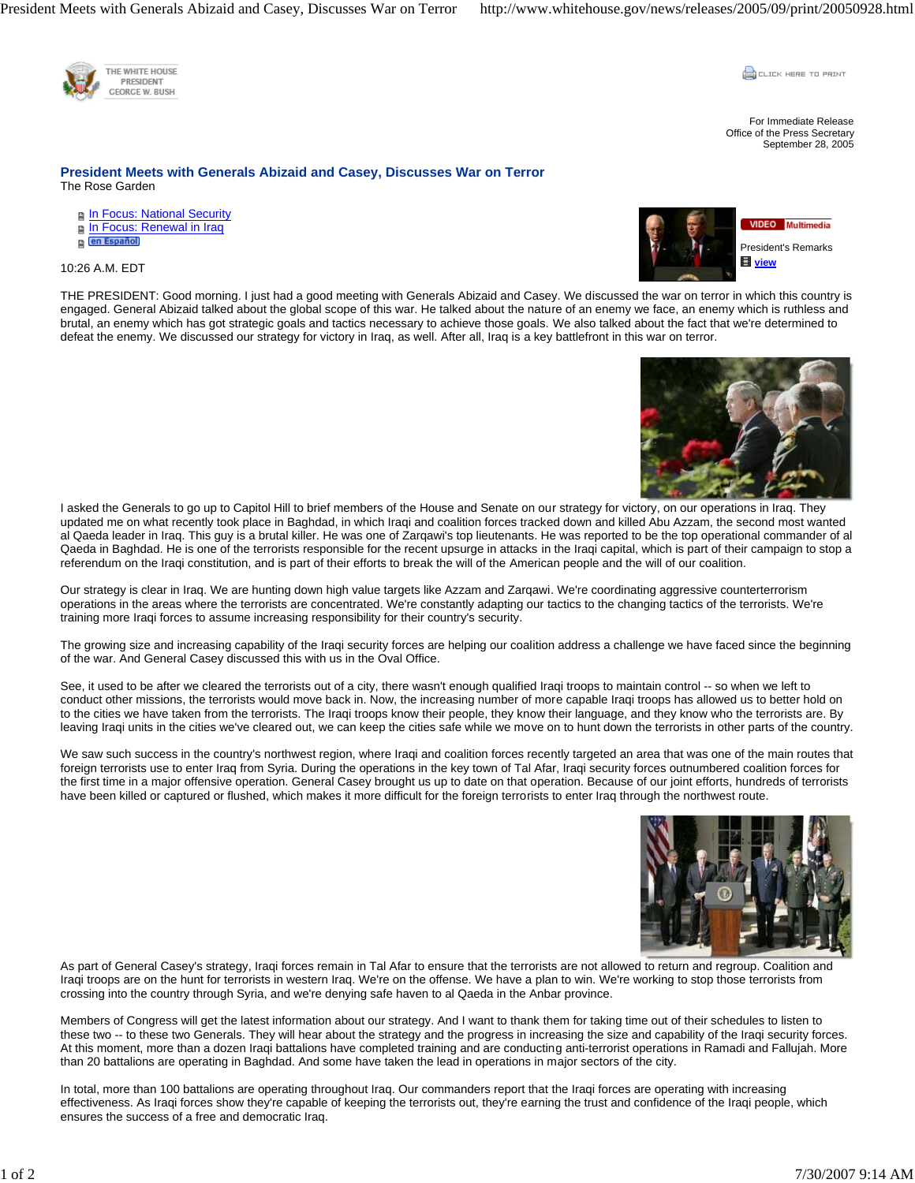

CLICK HERE TO PRINT

For Immediate Release Office of the Press Secretary September 28, 2005

## **President Meets with Generals Abizaid and Casey, Discusses War on Terror**  The Rose Garden

**n** In Focus: National Security **n** In Focus: Renewal in Iraq

en Español

10:26 A.M. EDT



THE PRESIDENT: Good morning. I just had a good meeting with Generals Abizaid and Casey. We discussed the war on terror in which this country is engaged. General Abizaid talked about the global scope of this war. He talked about the nature of an enemy we face, an enemy which is ruthless and brutal, an enemy which has got strategic goals and tactics necessary to achieve those goals. We also talked about the fact that we're determined to defeat the enemy. We discussed our strategy for victory in Iraq, as well. After all, Iraq is a key battlefront in this war on terror.



I asked the Generals to go up to Capitol Hill to brief members of the House and Senate on our strategy for victory, on our operations in Iraq. They updated me on what recently took place in Baghdad, in which Iraqi and coalition forces tracked down and killed Abu Azzam, the second most wanted al Qaeda leader in Iraq. This guy is a brutal killer. He was one of Zarqawi's top lieutenants. He was reported to be the top operational commander of al Qaeda in Baghdad. He is one of the terrorists responsible for the recent upsurge in attacks in the Iraqi capital, which is part of their campaign to stop a referendum on the Iraqi constitution, and is part of their efforts to break the will of the American people and the will of our coalition.

Our strategy is clear in Iraq. We are hunting down high value targets like Azzam and Zarqawi. We're coordinating aggressive counterterrorism operations in the areas where the terrorists are concentrated. We're constantly adapting our tactics to the changing tactics of the terrorists. We're training more Iraqi forces to assume increasing responsibility for their country's security.

The growing size and increasing capability of the Iraqi security forces are helping our coalition address a challenge we have faced since the beginning of the war. And General Casey discussed this with us in the Oval Office.

See, it used to be after we cleared the terrorists out of a city, there wasn't enough qualified Iraqi troops to maintain control -- so when we left to conduct other missions, the terrorists would move back in. Now, the increasing number of more capable Iraqi troops has allowed us to better hold on to the cities we have taken from the terrorists. The Iraqi troops know their people, they know their language, and they know who the terrorists are. By leaving Iraqi units in the cities we've cleared out, we can keep the cities safe while we move on to hunt down the terrorists in other parts of the country.

We saw such success in the country's northwest region, where Iraqi and coalition forces recently targeted an area that was one of the main routes that foreign terrorists use to enter Iraq from Syria. During the operations in the key town of Tal Afar, Iraqi security forces outnumbered coalition forces for the first time in a major offensive operation. General Casey brought us up to date on that operation. Because of our joint efforts, hundreds of terrorists have been killed or captured or flushed, which makes it more difficult for the foreign terrorists to enter Iraq through the northwest route.



As part of General Casey's strategy, Iraqi forces remain in Tal Afar to ensure that the terrorists are not allowed to return and regroup. Coalition and Iraqi troops are on the hunt for terrorists in western Iraq. We're on the offense. We have a plan to win. We're working to stop those terrorists from crossing into the country through Syria, and we're denying safe haven to al Qaeda in the Anbar province.

Members of Congress will get the latest information about our strategy. And I want to thank them for taking time out of their schedules to listen to these two -- to these two Generals. They will hear about the strategy and the progress in increasing the size and capability of the Iraqi security forces. At this moment, more than a dozen Iraqi battalions have completed training and are conducting anti-terrorist operations in Ramadi and Fallujah. More than 20 battalions are operating in Baghdad. And some have taken the lead in operations in major sectors of the city.

In total, more than 100 battalions are operating throughout Iraq. Our commanders report that the Iraqi forces are operating with increasing effectiveness. As Iraqi forces show they're capable of keeping the terrorists out, they're earning the trust and confidence of the Iraqi people, which ensures the success of a free and democratic Iraq.